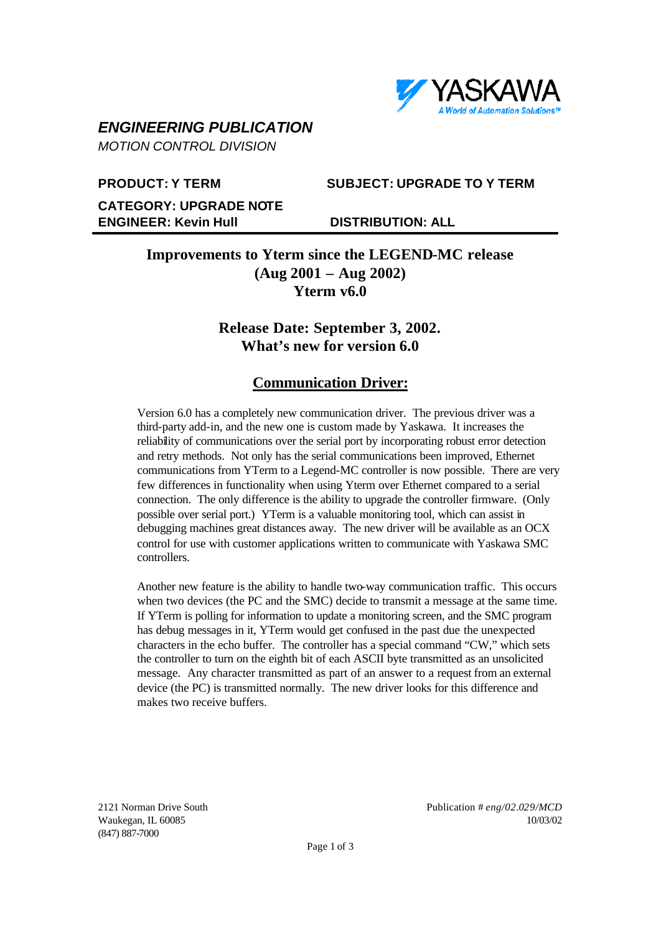

# *ENGINEERING PUBLICATION*

*MOTION CONTROL DIVISION*

## **PRODUCT: Y TERM SUBJECT: UPGRADE TO Y TERM**

**CATEGORY: UPGRADE NOTE ENGINEER: Kevin Hull DISTRIBUTION: ALL**

# **Improvements to Yterm since the LEGEND-MC release (Aug 2001 – Aug 2002) Yterm v6.0**

# **Release Date: September 3, 2002. What's new for version 6.0**

# **Communication Driver:**

Version 6.0 has a completely new communication driver. The previous driver was a third-party add-in, and the new one is custom made by Yaskawa. It increases the reliability of communications over the serial port by incorporating robust error detection and retry methods. Not only has the serial communications been improved, Ethernet communications from YTerm to a Legend-MC controller is now possible. There are very few differences in functionality when using Yterm over Ethernet compared to a serial connection. The only difference is the ability to upgrade the controller firmware. (Only possible over serial port.) YTerm is a valuable monitoring tool, which can assist in debugging machines great distances away. The new driver will be available as an OCX control for use with customer applications written to communicate with Yaskawa SMC controllers.

Another new feature is the ability to handle two-way communication traffic. This occurs when two devices (the PC and the SMC) decide to transmit a message at the same time. If YTerm is polling for information to update a monitoring screen, and the SMC program has debug messages in it, YTerm would get confused in the past due the unexpected characters in the echo buffer. The controller has a special command "CW," which sets the controller to turn on the eighth bit of each ASCII byte transmitted as an unsolicited message. Any character transmitted as part of an answer to a request from an external device (the PC) is transmitted normally. The new driver looks for this difference and makes two receive buffers.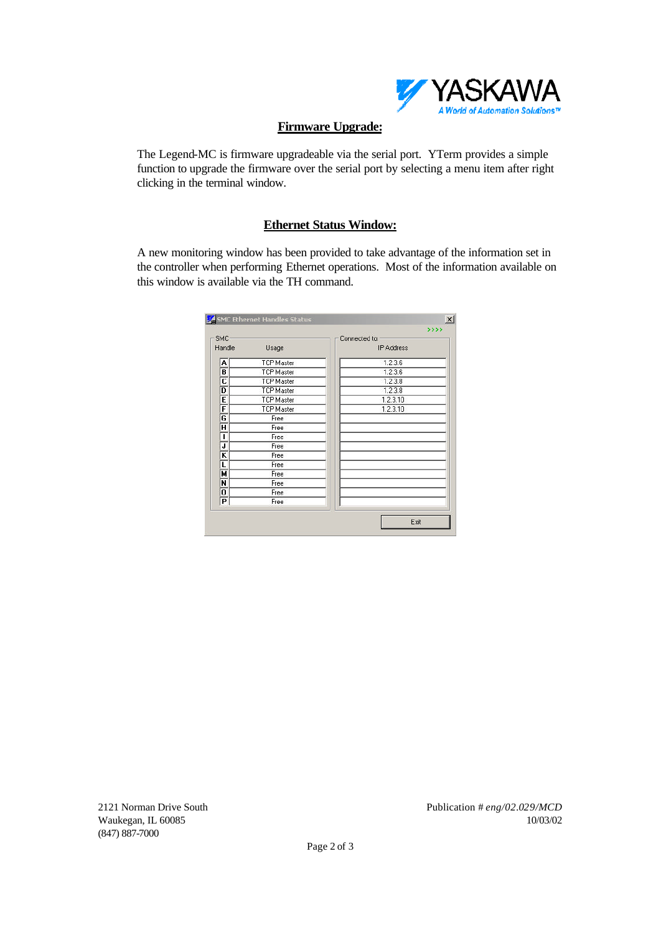

#### **Firmware Upgrade:**

The Legend-MC is firmware upgradeable via the serial port. YTerm provides a simple function to upgrade the firmware over the serial port by selecting a menu item after right clicking in the terminal window.

#### **Ethernet Status Window:**

A new monitoring window has been provided to take advantage of the information set in the controller when performing Ethernet operations. Most of the information available on this window is available via the TH command.

| <b>SMC</b>                |                   | Connected to:     |  |
|---------------------------|-------------------|-------------------|--|
| Handle                    | Usage             | <b>IP Address</b> |  |
| А                         | <b>TCP Master</b> | 1.2.3.6           |  |
| B                         | <b>TCP Master</b> | 1.2.3.6           |  |
| $\overline{\mathfrak{c}}$ | <b>TCP Master</b> | 1.2.3.8           |  |
| D                         | <b>TCP Master</b> | 1.2.3.8           |  |
| Έ                         | <b>TCP Master</b> | 1.2.3.10          |  |
| F                         | <b>TCP Master</b> | 1.2.3.10          |  |
| G                         | Free              |                   |  |
| π                         | Free              |                   |  |
| ī                         | Free              |                   |  |
| J                         | Free              |                   |  |
| $\overline{\mathsf{k}}$   | Free              |                   |  |
| L                         | Free              |                   |  |
| н                         | Free              |                   |  |
| N                         | Free              |                   |  |
| 0                         | Free              |                   |  |
| $\overline{P}$            | Free              |                   |  |